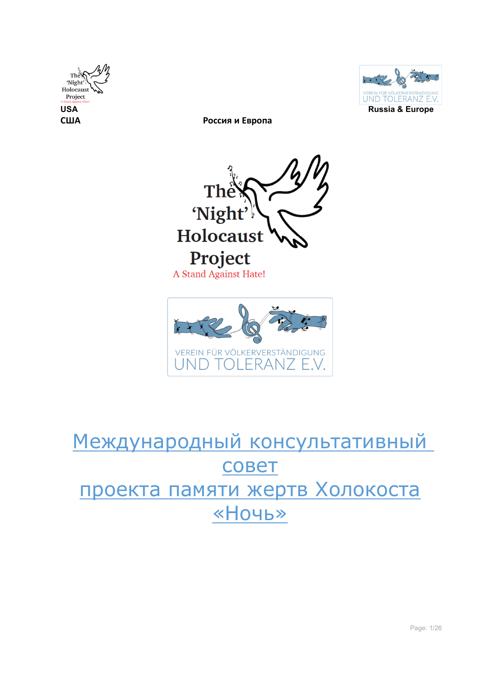







# Международный консультативный совет проекта памяти жертв Холокоста «Ночь»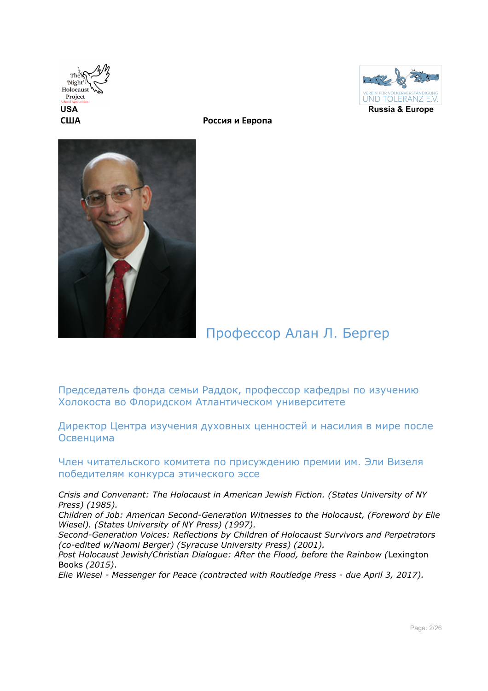





## Профессор Алан Л. Бергер

Председатель фонда семьи Раддок, профессор кафедры по изучению Холокоста во Флоридском Атлантическом университете

Директор Центра изучения духовных ценностей и насилия в мире после Освенцима

Член читательского комитета по присуждению премии им. Эли Визеля победителям конкурса этического эссе

*Crisis and Convenant: The Holocaust in American Jewish Fiction. (States University of NY Press) (1985).*

*Children of Job: American Second-Generation Witnesses to the Holocaust, (Foreword by Elie Wiesel). (States University of NY Press) (1997).*

*Second-Generation Voices: Reflections by Children of Holocaust Survivors and Perpetrators (co-edited w/Naomi Berger) (Syracuse University Press) (2001).*

*Post Holocaust Jewish/Christian Dialogue: After the Flood, before the Rainbow (*Lexington Books *(2015)*.

*Elie Wiesel - Messenger for Peace (contracted with Routledge Press - due April 3, 2017).*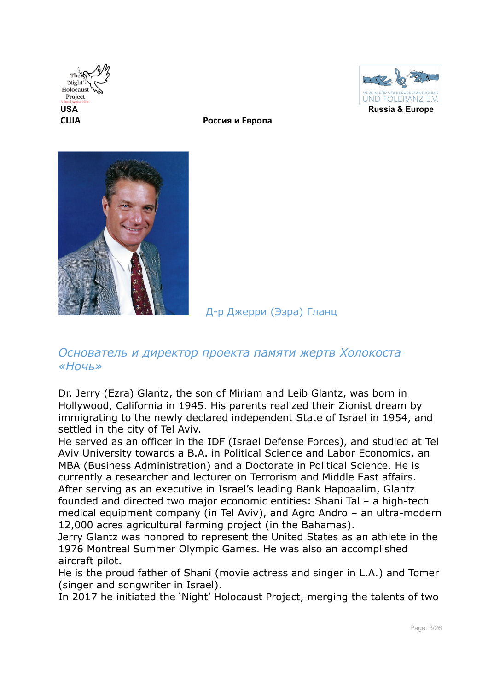





Д-р Джерри (Эзра) Гланц

### *Основатель и директор проекта памяти жертв Холокоста «Ночь»*

Dr. Jerry (Ezra) Glantz, the son of Miriam and Leib Glantz, was born in Hollywood, California in 1945. His parents realized their Zionist dream by immigrating to the newly declared independent State of Israel in 1954, and settled in the city of Tel Aviv.

He served as an officer in the IDF (Israel Defense Forces), and studied at Tel Aviv University towards a B.A. in Political Science and Labor Economics, an MBA (Business Administration) and a Doctorate in Political Science. He is currently a researcher and lecturer on Terrorism and Middle East affairs. After serving as an executive in Israel's leading Bank Hapoaalim, Glantz founded and directed two major economic entities: Shani Tal – a high-tech medical equipment company (in Tel Aviv), and Agro Andro – an ultra-modern 12,000 acres agricultural farming project (in the Bahamas).

Jerry Glantz was honored to represent the United States as an athlete in the 1976 Montreal Summer Olympic Games. He was also an accomplished aircraft pilot.

He is the proud father of Shani (movie actress and singer in L.A.) and Tomer (singer and songwriter in Israel).

In 2017 he initiated the 'Night' Holocaust Project, merging the talents of two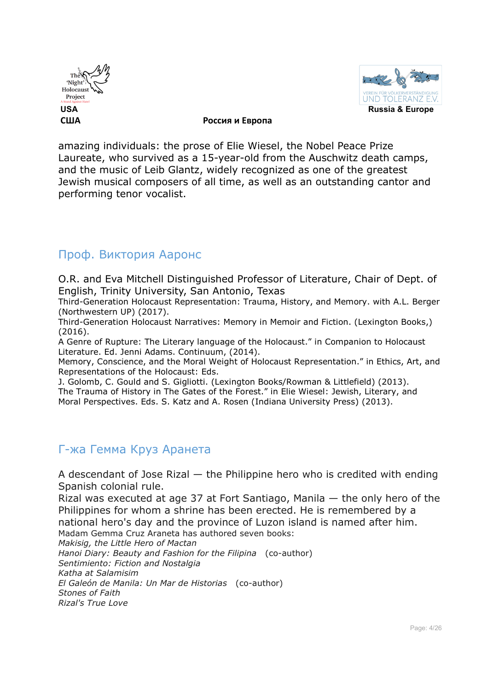



amazing individuals: the prose of Elie Wiesel, the Nobel Peace Prize Laureate, who survived as a 15-year-old from the Auschwitz death camps, and the music of Leib Glantz, widely recognized as one of the greatest Jewish musical composers of all time, as well as an outstanding cantor and performing tenor vocalist.

### Проф. Виктория Ааронс

O.R. and Eva Mitchell Distinguished Professor of Literature, Chair of Dept. of English, Trinity University, San Antonio, Texas

Third-Generation Holocaust Representation: Trauma, History, and Memory. with A.L. Berger (Northwestern UP) (2017).

Third-Generation Holocaust Narratives: Memory in Memoir and Fiction. (Lexington Books,) (2016).

A Genre of Rupture: The Literary language of the Holocaust." in Companion to Holocaust Literature. Ed. Jenni Adams. Continuum, (2014).

Memory, Conscience, and the Moral Weight of Holocaust Representation." in Ethics, Art, and Representations of the Holocaust: Eds.

J. Golomb, C. Gould and S. Gigliotti. (Lexington Books/Rowman & Littlefield) (2013). The Trauma of History in The Gates of the Forest." in Elie Wiesel: Jewish, Literary, and Moral Perspectives. Eds. S. Katz and A. Rosen (Indiana University Press) (2013).

### Г-жа Гемма Круз Аранета

A descendant of Jose Rizal — the Philippine hero who is credited with ending Spanish colonial rule.

Rizal was executed at age 37 at Fort Santiago, Manila — the only hero of the Philippines for whom a shrine has been erected. He is remembered by a national hero's day and the province of Luzon island is named after him.

Madam Gemma Cruz Araneta has authored seven books:

*Makisig, the Little Hero of Mactan*

*Hanoi Diary: Beauty and Fashion for the Filipina* (co-author) *Sentimiento: Fiction and Nostalgia Katha at Salamisim El Galeón de Manila: Un Mar de Historias* (co-author) *Stones of Faith Rizal's True Love*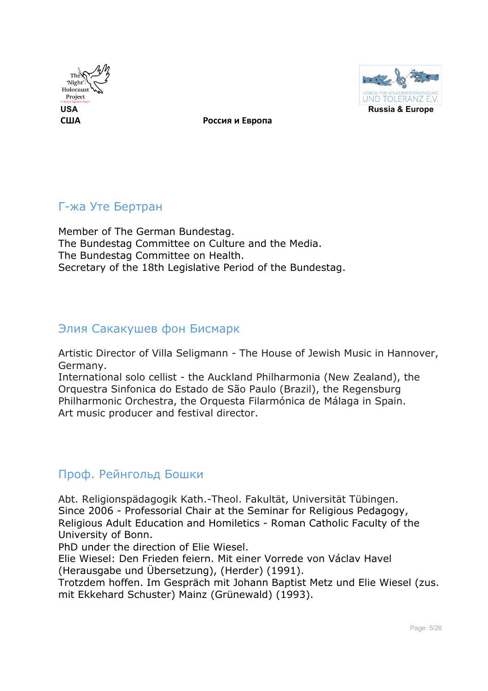



### Г-жа Уте Бертран

Member of The German Bundestag. The Bundestag Committee on Culture and the Media. The Bundestag Committee on Health. Secretary of the 18th Legislative Period of the Bundestag.

### Элия Сакакушев фон Бисмарк

Artistic Director of Villa Seligmann - The House of Jewish Music in Hannover, Germany.

International solo cellist - the Auckland Philharmonia (New Zealand), the Orquestra Sinfonica do Estado de São Paulo (Brazil), the Regensburg Philharmonic Orchestra, the Orquesta Filarmónica de Málaga in Spain. Art music producer and festival director.

### Проф. Рейнгольд Бошки

Abt. Religionspädagogik Kath.-Theol. Fakultät, Universität Tübingen. Since 2006 - Professorial Chair at the Seminar for Religious Pedagogy, Religious Adult Education and Homiletics - Roman Catholic Faculty of the University of Bonn.

PhD under the direction of Elie Wiesel.

Elie Wiesel: Den Frieden feiern. Mit einer Vorrede von Václav Havel (Herausgabe und Übersetzung), (Herder) (1991).

Trotzdem hoffen. Im Gespräch mit Johann Baptist Metz und Elie Wiesel (zus. mit Ekkehard Schuster) Mainz (Grünewald) (1993).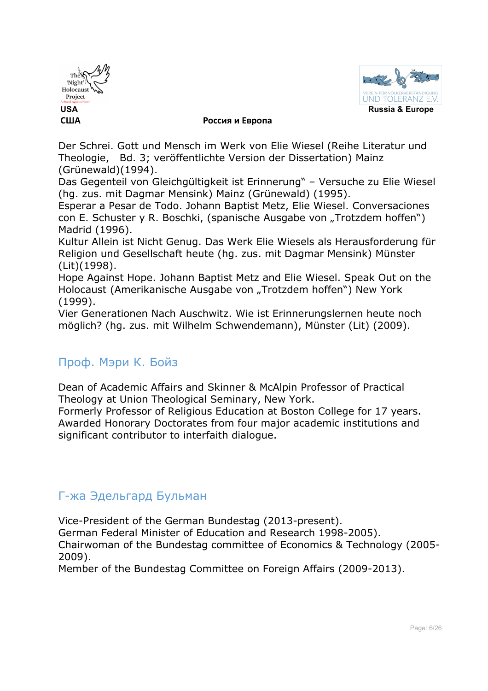



Der Schrei. Gott und Mensch im Werk von Elie Wiesel (Reihe Literatur und Theologie, Bd. 3; veröffentlichte Version der Dissertation) Mainz (Grünewald)(1994).

Das Gegenteil von Gleichgültigkeit ist Erinnerung" – Versuche zu Elie Wiesel (hg. zus. mit Dagmar Mensink) Mainz (Grünewald) (1995).

Esperar a Pesar de Todo. Johann Baptist Metz, Elie Wiesel. Conversaciones con E. Schuster y R. Boschki, (spanische Ausgabe von "Trotzdem hoffen") Madrid (1996).

Kultur Allein ist Nicht Genug. Das Werk Elie Wiesels als Herausforderung für Religion und Gesellschaft heute (hg. zus. mit Dagmar Mensink) Münster (Lit)(1998).

Hope Against Hope. Johann Baptist Metz and Elie Wiesel. Speak Out on the Holocaust (Amerikanische Ausgabe von "Trotzdem hoffen") New York (1999).

Vier Generationen Nach Auschwitz. Wie ist Erinnerungslernen heute noch möglich? (hg. zus. mit Wilhelm Schwendemann), Münster (Lit) (2009).

### Проф. Мэри К. Бойз

Dean of Academic Affairs and Skinner & McAlpin Professor of Practical Theology at Union Theological Seminary, New York.

Formerly Professor of Religious Education at Boston College for 17 years. Awarded Honorary Doctorates from four major academic institutions and significant contributor to interfaith dialogue.

### Г-жа Эдельгард Бульман

Vice-President of the German Bundestag (2013-present).

German Federal Minister of Education and Research 1998-2005).

Chairwoman of the Bundestag committee of Economics & Technology (2005- 2009).

Member of the Bundestag Committee on Foreign Affairs (2009-2013).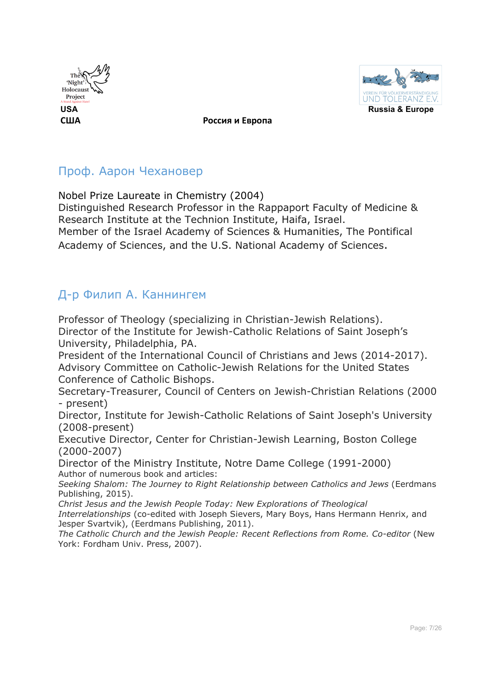



### Проф. Аарон Чехановер

Nobel Prize Laureate in Chemistry (2004)

Distinguished Research Professor in the Rappaport Faculty of Medicine & Research Institute at the Technion Institute, Haifa, Israel. Member of the Israel Academy of Sciences & Humanities, The Pontifical

Academy of Sciences, and the U.S. National Academy of Sciences.

### Д-р Филип А. Каннингем

Professor of Theology (specializing in Christian-Jewish Relations). Director of the Institute for Jewish-Catholic Relations of Saint Joseph's University, Philadelphia, PA.

President of the International Council of Christians and Jews (2014-2017). Advisory Committee on Catholic-Jewish Relations for the United States Conference of Catholic Bishops.

Secretary-Treasurer, Council of Centers on Jewish-Christian Relations (2000 - present)

Director, Institute for Jewish-Catholic Relations of Saint Joseph's University (2008-present)

Executive Director, Center for Christian-Jewish Learning, Boston College (2000-2007)

Director of the Ministry Institute, Notre Dame College (1991-2000) Author of numerous book and articles:

*Seeking Shalom: The Journey to Right Relationship between Catholics and Jews* (Eerdmans Publishing, 2015).

*Christ Jesus and the Jewish People Today: New Explorations of Theological* 

*Interrelationships* (co-edited with Joseph Sievers, Mary Boys, Hans Hermann Henrix, and Jesper Svartvik), (Eerdmans Publishing, 2011).

*The Catholic Church and the Jewish People: Recent Reflections from Rome. Co-editor (New* York: Fordham Univ. Press, 2007).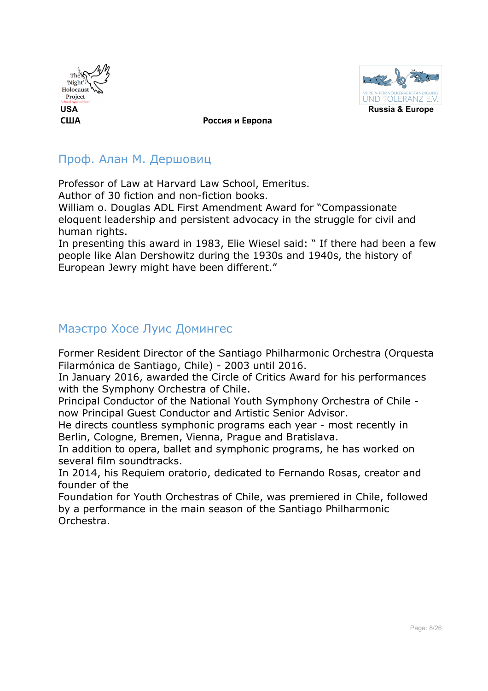



### Проф. Алан М. Дершовиц

Professor of Law at Harvard Law School, Emeritus. Author of 30 fiction and non-fiction books.

William o. Douglas ADL First Amendment Award for "Compassionate eloquent leadership and persistent advocacy in the struggle for civil and human rights.

In presenting this award in 1983, Elie Wiesel said: " If there had been a few people like Alan Dershowitz during the 1930s and 1940s, the history of European Jewry might have been different."

### Маэстро Хосе Луис Домингес

Former Resident Director of the Santiago Philharmonic Orchestra (Orquesta Filarmónica de Santiago, Chile) - 2003 until 2016.

In January 2016, awarded the Circle of Critics Award for his performances with the Symphony Orchestra of Chile.

Principal Conductor of the National Youth Symphony Orchestra of Chile now Principal Guest Conductor and Artistic Senior Advisor.

He directs countless symphonic programs each year - most recently in Berlin, Cologne, Bremen, Vienna, Prague and Bratislava.

In addition to opera, ballet and symphonic programs, he has worked on several film soundtracks.

In 2014, his Requiem oratorio, dedicated to Fernando Rosas, creator and founder of the

Foundation for Youth Orchestras of Chile, was premiered in Chile, followed by a performance in the main season of the Santiago Philharmonic Orchestra.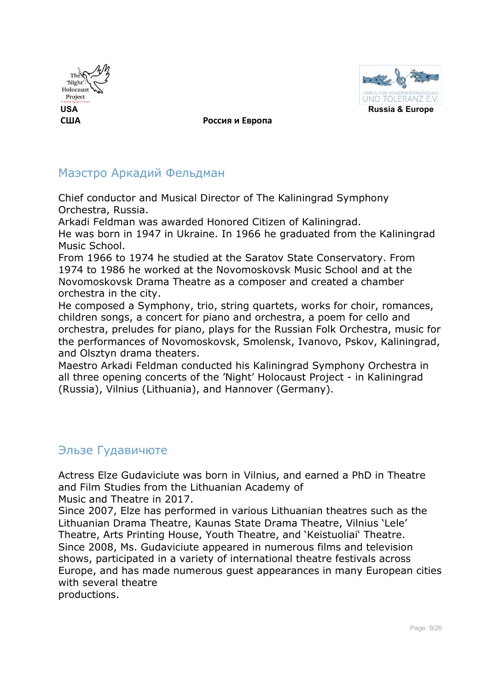



### Маэстро Аркадий Фельдман

Chief conductor and Musical Director of The Kaliningrad Symphony Orchestra, Russia.

Arkadi Feldman was awarded Honored Citizen of Kaliningrad.

He was born in 1947 in Ukraine. In 1966 he graduated from the Kaliningrad Music School.

From 1966 to 1974 he studied at the Saratov State Conservatory. From 1974 to 1986 he worked at the Novomoskovsk Music School and at the Novomoskovsk Drama Theatre as a composer and created a chamber orchestra in the city.

He composed a Symphony, trio, string quartets, works for choir, romances, children songs, a concert for piano and orchestra, a poem for cello and orchestra, preludes for piano, plays for the Russian Folk Orchestra, music for the performances of Novomoskovsk, Smolensk, Ivanovo, Pskov, Kaliningrad, and Olsztyn drama theaters.

Maestro Arkadi Feldman conducted his Kaliningrad Symphony Orchestra in all three opening concerts of the 'Night' Holocaust Project - in Kaliningrad (Russia), Vilnius (Lithuania), and Hannover (Germany).

### Эльзе Гудавичюте

Actress Elze Gudaviciute was born in Vilnius, and earned a PhD in Theatre and Film Studies from the Lithuanian Academy of

Music and Theatre in 2017.

Since 2007, Elze has performed in various Lithuanian theatres such as the Lithuanian Drama Theatre, Kaunas State Drama Theatre, Vilnius 'Lele' Theatre, Arts Printing House, Youth Theatre, and 'Keistuoliai' Theatre. Since 2008, Ms. Gudaviciute appeared in numerous films and television shows, participated in a variety of international theatre festivals across Europe, and has made numerous guest appearances in many European cities with several theatre productions.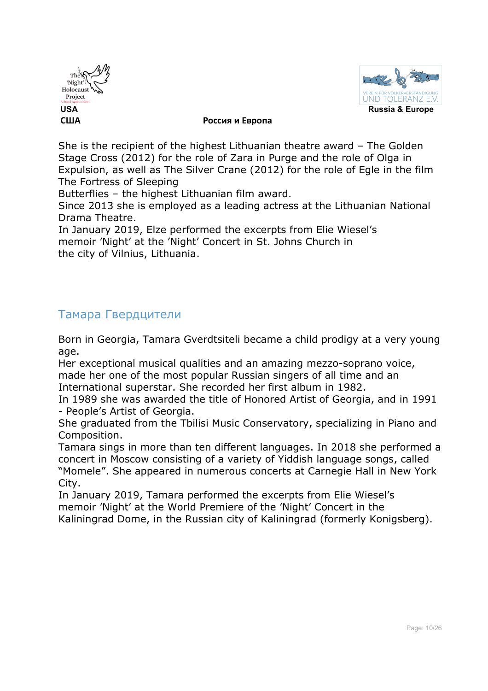



She is the recipient of the highest Lithuanian theatre award – The Golden Stage Cross (2012) for the role of Zara in Purge and the role of Olga in Expulsion, as well as The Silver Crane (2012) for the role of Egle in the film The Fortress of Sleeping

Butterflies – the highest Lithuanian film award.

Since 2013 she is employed as a leading actress at the Lithuanian National Drama Theatre.

In January 2019, Elze performed the excerpts from Elie Wiesel's memoir 'Night' at the 'Night' Concert in St. Johns Church in the city of Vilnius, Lithuania.

### Тамара Гвердцители

Born in Georgia, Tamara Gverdtsiteli became a child prodigy at a very young age.

Her exceptional musical qualities and an amazing mezzo-soprano voice, made her one of the most popular Russian singers of all time and an International superstar. She recorded her first album in 1982.

In 1989 she was awarded the title of Honored Artist of Georgia, and in 1991 - People's Artist of Georgia.

She graduated from the Tbilisi Music Conservatory, specializing in Piano and Composition.

Tamara sings in more than ten different languages. In 2018 she performed a concert in Moscow consisting of a variety of Yiddish language songs, called "Momele". She appeared in numerous concerts at Carnegie Hall in New York City.

In January 2019, Tamara performed the excerpts from Elie Wiesel's memoir 'Night' at the World Premiere of the 'Night' Concert in the Kaliningrad Dome, in the Russian city of Kaliningrad (formerly Konigsberg).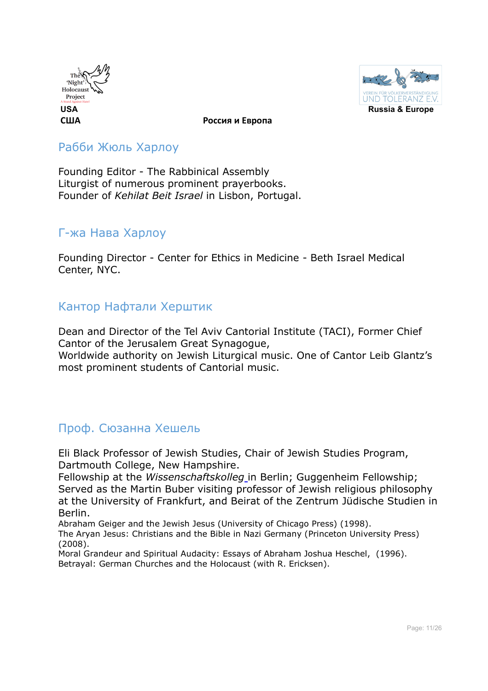



### Рабби Жюль Харлоу

Founding Editor - The Rabbinical Assembly Liturgist of numerous prominent prayerbooks. Founder of *Kehilat Beit Israel* in Lisbon, Portugal.

### Г-жа Нава Харлоу

Founding Director - Center for Ethics in Medicine - Beth Israel Medical Center, NYC.

### Кантор Нафтали Херштик

Dean and Director of the Tel Aviv Cantorial Institute (TACI), Former Chief Cantor of the Jerusalem Great Synagogue,

Worldwide authority on Jewish Liturgical music. One of Cantor Leib Glantz's most prominent students of Cantorial music.

### Проф. Сюзанна Хешель

Eli Black Professor of Jewish Studies, Chair of Jewish Studies Program, Dartmouth College, New Hampshire.

Fellowship at the *Wissenschaftskolleg* in Berlin; Guggenheim Fellowship; Served as the Martin Buber visiting professor of Jewish religious philosophy at the University of Frankfurt, and Beirat of the Zentrum Jüdische Studien in Berlin.

Abraham Geiger and the Jewish Jesus (University of Chicago Press) (1998).

The Aryan Jesus: Christians and the Bible in Nazi Germany (Princeton University Press) (2008).

Moral Grandeur and Spiritual Audacity: Essays of Abraham Joshua Heschel, (1996). Betrayal: German Churches and the Holocaust (with R. Ericksen).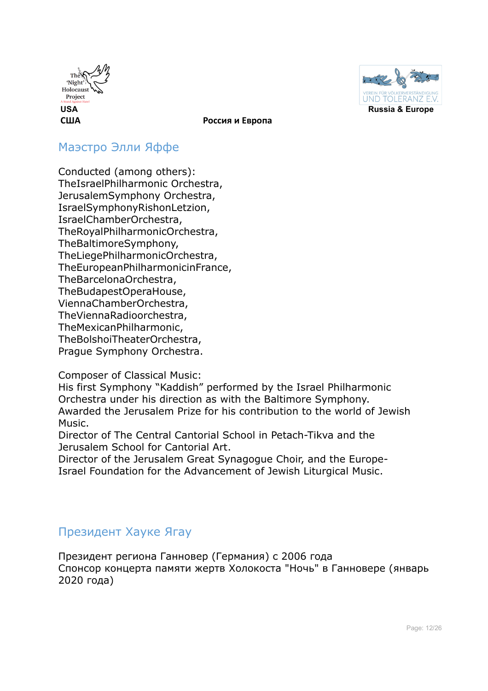



### Маэстро Элли Яффе

Conducted (among others): TheIsraelPhilharmonic Orchestra, JerusalemSymphony Orchestra, IsraelSymphonyRishonLetzion, IsraelChamberOrchestra, TheRoyalPhilharmonicOrchestra, TheBaltimoreSymphony, TheLiegePhilharmonicOrchestra, TheEuropeanPhilharmonicinFrance, TheBarcelonaOrchestra, TheBudapestOperaHouse, ViennaChamberOrchestra, TheViennaRadioorchestra, TheMexicanPhilharmonic, TheBolshoiTheaterOrchestra, Prague Symphony Orchestra.

Composer of Classical Music:

His first Symphony "Kaddish" performed by the Israel Philharmonic Orchestra under his direction as with the Baltimore Symphony. Awarded the Jerusalem Prize for his contribution to the world of Jewish Music.

Director of The Central Cantorial School in Petach-Tikva and the Jerusalem School for Cantorial Art.

Director of the Jerusalem Great Synagogue Choir, and the Europe-Israel Foundation for the Advancement of Jewish Liturgical Music.

### Президент Хауке Ягау

Президент региона Ганновер (Германия) с 2006 года Спонсор концерта памяти жертв Холокоста "Ночь" в Ганновере (январь 2020 года)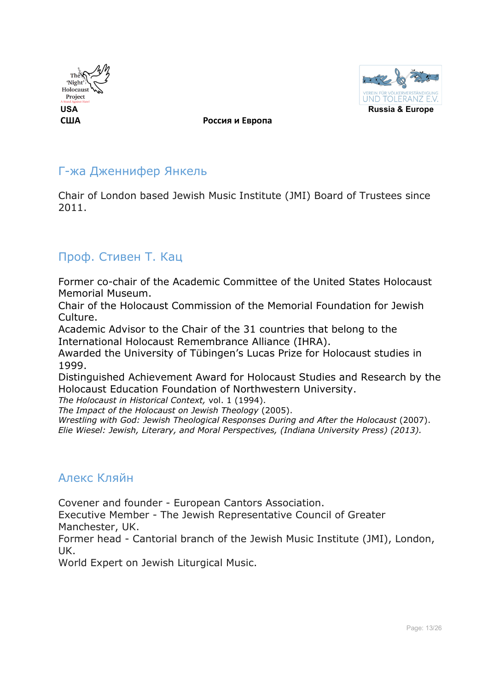



### Г-жа Дженнифер Янкель

Chair of London based Jewish Music Institute (JMI) Board of Trustees since 2011.

### Проф. Стивен Т. Кац

Former co-chair of the Academic Committee of the United States Holocaust Memorial Museum.

Chair of the Holocaust Commission of the Memorial Foundation for Jewish Culture.

Academic Advisor to the Chair of the 31 countries that belong to the International Holocaust Remembrance Alliance (IHRA).

Awarded the University of Tübingen's Lucas Prize for Holocaust studies in 1999.

Distinguished Achievement Award for Holocaust Studies and Research by the Holocaust Education Foundation of Northwestern University.

*The Holocaust in Historical Context,* vol. 1 (1994).

*The Impact of the Holocaust on Jewish Theology* (2005).

*Wrestling with God: Jewish Theological Responses During and After the Holocaust* (2007). *Elie Wiesel: Jewish, Literary, and Moral Perspectives, (Indiana University Press) (2013).*

### Алекс Кляйн

Covener and founder - European Cantors Association.

Executive Member - The Jewish Representative Council of Greater Manchester, UK.

Former head - Cantorial branch of the Jewish Music Institute (JMI), London, UK.

World Expert on Jewish Liturgical Music.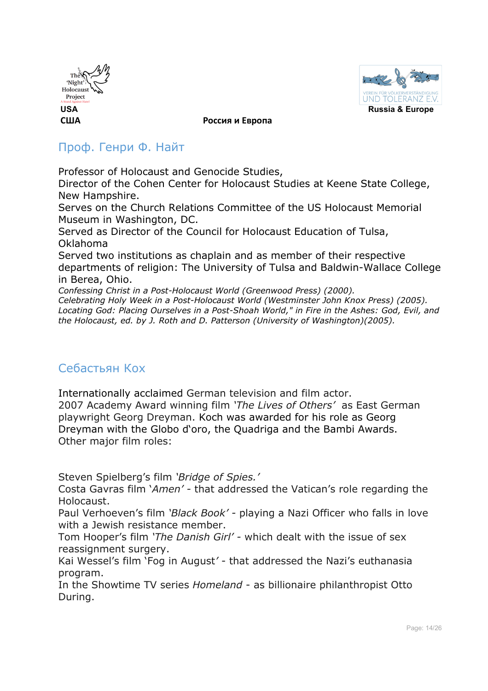



### Проф. Генри Ф. Найт

Professor of Holocaust and Genocide Studies,

Director of the Cohen Center for Holocaust Studies at Keene State College, New Hampshire.

Serves on the Church Relations Committee of the US Holocaust Memorial Museum in Washington, DC.

Served as Director of the Council for Holocaust Education of Tulsa, Oklahoma

Served two institutions as chaplain and as member of their respective departments of religion: The University of Tulsa and Baldwin-Wallace College in Berea, Ohio.

*Confessing Christ in a Post-Holocaust World (Greenwood Press) (2000).*

*Celebrating Holy Week in a Post-Holocaust World (Westminster John Knox Press) (2005). Locating God: Placing Ourselves in a Post-Shoah World," in Fire in the Ashes: God, Evil, and the Holocaust, ed. by J. Roth and D. Patterson (University of Washington)(2005).*

### Себастьян Кох

Internationally acclaimed German television and film actor. 2007 Academy Award winning film *'The Lives of Others'* as East German playwright Georg Dreyman. Koch was awarded for his role as Georg Dreyman with the Globo d'oro, the Quadriga and the Bambi Awards. Other major film roles:

Steven Spielberg's film *'Bridge of Spies.'*

Costa Gavras film '*Amen' -* that addressed the Vatican's role regarding the Holocaust.

Paul Verhoeven's film *'Black Book' -* playing a Nazi Officer who falls in love with a Jewish resistance member.

Tom Hooper's film *'The Danish Girl' -* which dealt with the issue of sex reassignment surgery.

Kai Wessel's film 'Fog in August*'* - that addressed the Nazi's euthanasia program.

In the Showtime TV series *Homeland* - as billionaire philanthropist Otto During.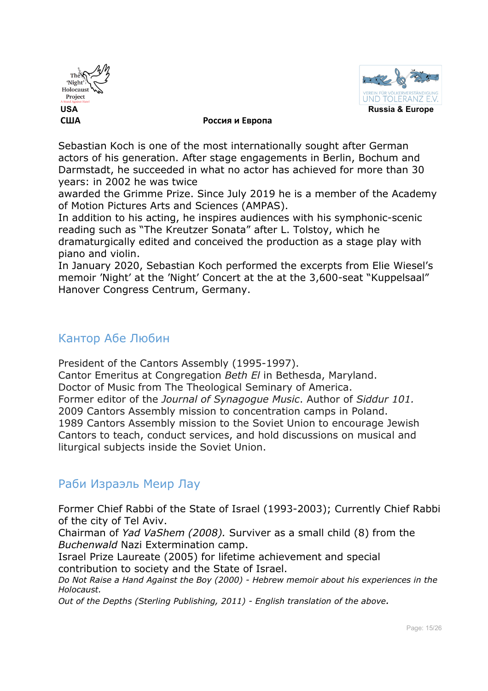



Sebastian Koch is one of the most internationally sought after German actors of his generation. After stage engagements in Berlin, Bochum and Darmstadt, he succeeded in what no actor has achieved for more than 30 years: in 2002 he was twice

awarded the Grimme Prize. Since July 2019 he is a member of the Academy of Motion Pictures Arts and Sciences (AMPAS).

In addition to his acting, he inspires audiences with his symphonic-scenic reading such as "The Kreutzer Sonata" after L. Tolstoy, which he dramaturgically edited and conceived the production as a stage play with piano and violin.

In January 2020, Sebastian Koch performed the excerpts from Elie Wiesel's memoir 'Night' at the 'Night' Concert at the at the 3,600-seat "Kuppelsaal" Hanover Congress Centrum, Germany.

### Кантор Абе Любин

President of the Cantors Assembly (1995-1997).

Cantor Emeritus at Congregation *Beth El* in Bethesda, Maryland. Doctor of Music from The Theological Seminary of America.

Former editor of the *Journal of Synagogue Music*. Author of *Siddur 101.* 2009 Cantors Assembly mission to concentration camps in Poland. 1989 Cantors Assembly mission to the Soviet Union to encourage Jewish Cantors to teach, conduct services, and hold discussions on musical and liturgical subjects inside the Soviet Union.

### Раби Израэль Меир Лау

Former Chief Rabbi of the State of Israel (1993-2003); Currently Chief Rabbi of the city of Tel Aviv.

Chairman of *Yad VaShem (2008).* Surviver as a small child (8) from the *Buchenwald* Nazi Extermination camp.

Israel Prize Laureate (2005) for lifetime achievement and special contribution to society and the State of Israel.

*Do Not Raise a Hand Against the Boy (2000) - Hebrew memoir about his experiences in the Holocaust.*

*Out of the Depths (Sterling Publishing, 2011) - English translation of the above.*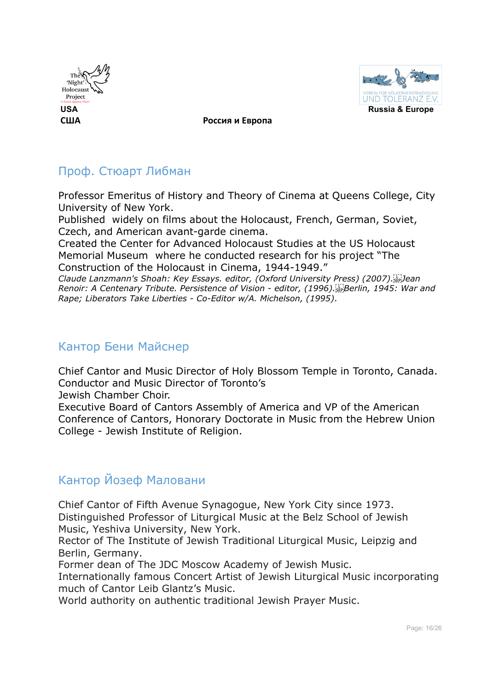



### Проф. Стюарт Либман

Professor Emeritus of History and Theory of Cinema at Queens College, City University of New York.

Published widely on films about the Holocaust, French, German, Soviet, Czech, and American avant-garde cinema.

Created the Center for Advanced Holocaust Studies at the US Holocaust Memorial Museum where he conducted research for his project "The Construction of the Holocaust in Cinema, 1944-1949."

*Claude Lanzmann's Shoah: Key Essays. editor, (Oxford University Press) (2007). Jean Renoir: A Centenary Tribute. Persistence of Vision* - *editor, (1996). Berlin, 1945: War and Rape; Liberators Take Liberties - Co-Editor w/A. Michelson, (1995)*.

### Кантор Бени Майснер

Chief Cantor and Music Director of Holy Blossom Temple in Toronto, Canada. Conductor and Music Director of Toronto's

Jewish Chamber Choir.

Executive Board of Cantors Assembly of America and VP of the American Conference of Cantors, Honorary Doctorate in Music from the Hebrew Union College - Jewish Institute of Religion.

### Кантор Йозеф Маловани

Chief Cantor of Fifth Avenue Synagogue, New York City since 1973. Distinguished Professor of Liturgical Music at the Belz School of Jewish Music, Yeshiva University, New York.

Rector of The Institute of Jewish Traditional Liturgical Music, Leipzig and Berlin, Germany.

Former dean of The JDC Moscow Academy of Jewish Music.

Internationally famous Concert Artist of Jewish Liturgical Music incorporating much of Cantor Leib Glantz's Music.

World authority on authentic traditional Jewish Prayer Music.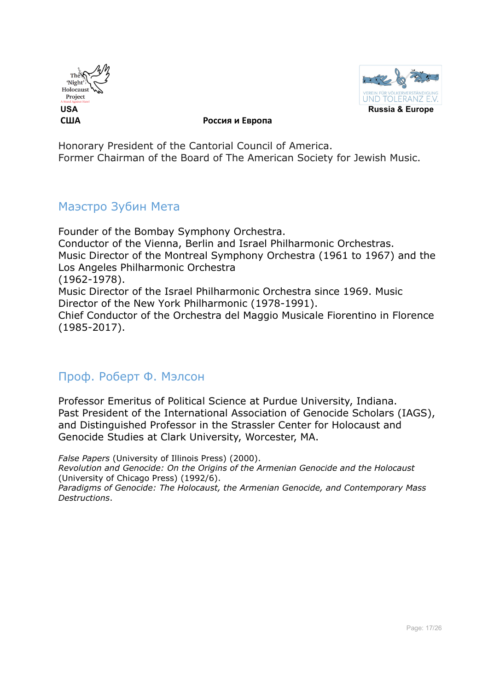



Honorary President of the Cantorial Council of America. Former Chairman of the Board of The American Society for Jewish Music.

### Маэстро Зубин Мета

Founder of the Bombay Symphony Orchestra. Conductor of the Vienna, Berlin and Israel Philharmonic Orchestras. Music Director of the Montreal Symphony Orchestra (1961 to 1967) and the Los Angeles Philharmonic Orchestra (1962-1978). Music Director of the Israel Philharmonic Orchestra since 1969. Music Director of the New York Philharmonic (1978-1991). Chief Conductor of the Orchestra del Maggio Musicale Fiorentino in Florence (1985-2017).

### Проф. Роберт Ф. Мэлсон

Professor Emeritus of Political Science at Purdue University, Indiana. Past President of the International Association of Genocide Scholars (IAGS), and Distinguished Professor in the Strassler Center for Holocaust and Genocide Studies at Clark University, Worcester, MA.

*False Papers* (University of Illinois Press) (2000). *Revolution and Genocide: On the Origins of the Armenian Genocide and the Holocaust* (University of Chicago Press) (1992/6). *Paradigms of Genocide: The Holocaust, the Armenian Genocide, and Contemporary Mass Destructions*.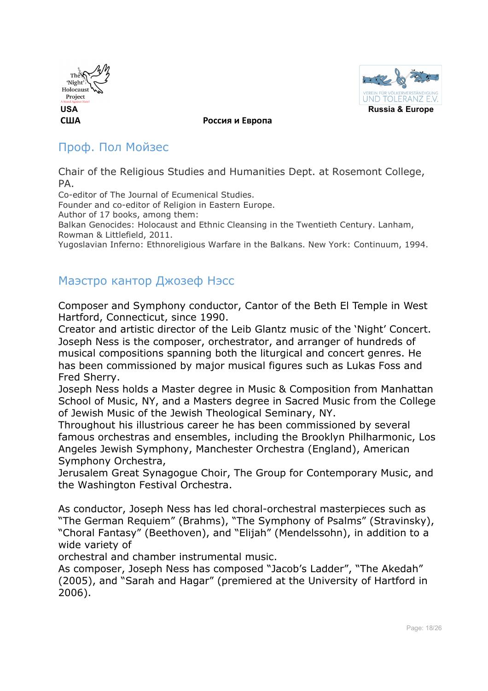



### Проф. Пол Мойзес

Chair of the Religious Studies and Humanities Dept. at Rosemont College, PA.

Co-editor of The Journal of Ecumenical Studies.

Founder and co-editor of Religion in Eastern Europe.

Author of 17 books, among them:

Balkan Genocides: Holocaust and Ethnic Cleansing in the Twentieth Century. Lanham, Rowman & Littlefield, 2011.

Yugoslavian Inferno: Ethnoreligious Warfare in the Balkans. New York: Continuum, 1994.

### Маэстро кантор Джозеф Нэсс

Composer and Symphony conductor, Cantor of the Beth El Temple in West Hartford, Connecticut, since 1990.

Creator and artistic director of the Leib Glantz music of the 'Night' Concert. Joseph Ness is the composer, orchestrator, and arranger of hundreds of musical compositions spanning both the liturgical and concert genres. He has been commissioned by major musical figures such as Lukas Foss and Fred Sherry.

Joseph Ness holds a Master degree in Music & Composition from Manhattan School of Music, NY, and a Masters degree in Sacred Music from the College of Jewish Music of the Jewish Theological Seminary, NY.

Throughout his illustrious career he has been commissioned by several famous orchestras and ensembles, including the Brooklyn Philharmonic, Los Angeles Jewish Symphony, Manchester Orchestra (England), American Symphony Orchestra,

Jerusalem Great Synagogue Choir, The Group for Contemporary Music, and the Washington Festival Orchestra.

As conductor, Joseph Ness has led choral-orchestral masterpieces such as "The German Requiem" (Brahms), "The Symphony of Psalms" (Stravinsky), "Choral Fantasy" (Beethoven), and "Elijah" (Mendelssohn), in addition to a wide variety of

orchestral and chamber instrumental music.

As composer, Joseph Ness has composed "Jacob's Ladder", "The Akedah" (2005), and "Sarah and Hagar" (premiered at the University of Hartford in 2006).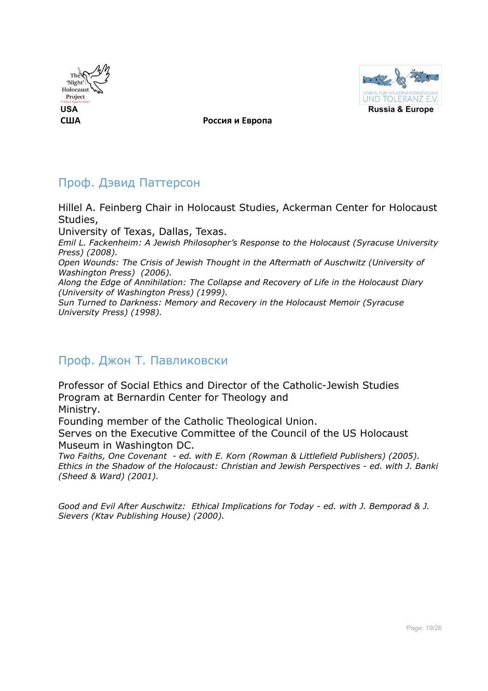



### Проф. Дэвид Паттерсон

Hillel A. Feinberg Chair in Holocaust Studies, Ackerman Center for Holocaust Studies,

University of Texas, Dallas, Texas.

*Emil L. Fackenheim: A Jewish Philosopher's Response to the Holocaust (Syracuse University Press) (2008).*

*Open Wounds: The Crisis of Jewish Thought in the Aftermath of Auschwitz (University of Washington Press) (2006).*

*Along the Edge of Annihilation: The Collapse and Recovery of Life in the Holocaust Diary (University of Washington Press) (1999).*

*Sun Turned to Darkness: Memory and Recovery in the Holocaust Memoir (Syracuse University Press) (1998).*

### Проф. Джон Т. Павликовски

Professor of Social Ethics and Director of the Catholic-Jewish Studies Program at Bernardin Center for Theology and Ministry.

Founding member of the Catholic Theological Union.

Serves on the Executive Committee of the Council of the US Holocaust Museum in Washington DC.

*Two Faiths, One Covenant - ed. with E. Korn (Rowman & Littlefield Publishers) (2005). Ethics in the Shadow of the Holocaust: Christian and Jewish Perspectives - ed. with J. Banki (Sheed & Ward) (2001).*

*Good and Evil After Auschwitz: Ethical Implications for Today - ed. with J. Bemporad & J. Sievers (Ktav Publishing House) (2000).*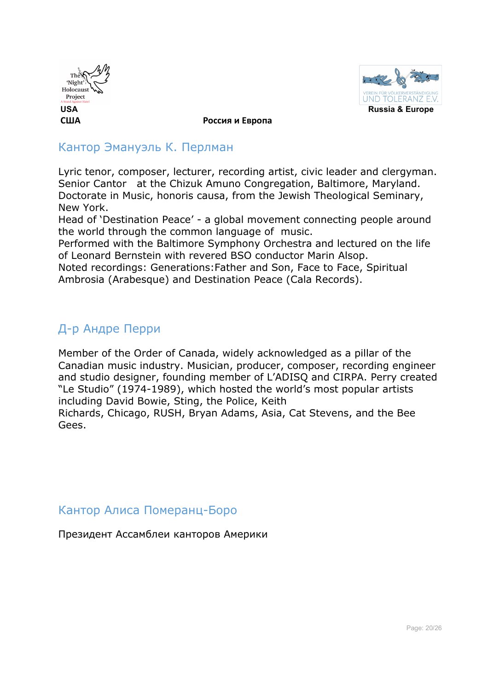



### Кантор Эмануэль К. Перлман

Lyric tenor, composer, lecturer, recording artist, civic leader and clergyman. Senior Cantor at the Chizuk Amuno Congregation, Baltimore, Maryland. Doctorate in Music, honoris causa, from the Jewish Theological Seminary, New York.

Head of 'Destination Peace' - a global movement connecting people around the world through the common language of music.

Performed with the Baltimore Symphony Orchestra and lectured on the life of Leonard Bernstein with revered BSO conductor Marin Alsop.

Noted recordings: Generations:Father and Son, Face to Face, Spiritual Ambrosia (Arabesque) and Destination Peace (Cala Records).

### Д-р Андре Перри

Member of the Order of Canada, widely acknowledged as a pillar of the Canadian music industry. Musician, producer, composer, recording engineer and studio designer, founding member of L'ADISQ and CIRPA. Perry created "Le Studio" (1974-1989), which hosted the world's most popular artists including David Bowie, Sting, the Police, Keith

Richards, Chicago, RUSH, Bryan Adams, Asia, Cat Stevens, and the Bee Gees.

Кантор Алиса Померанц-Боро

Президент Ассамблеи канторов Америки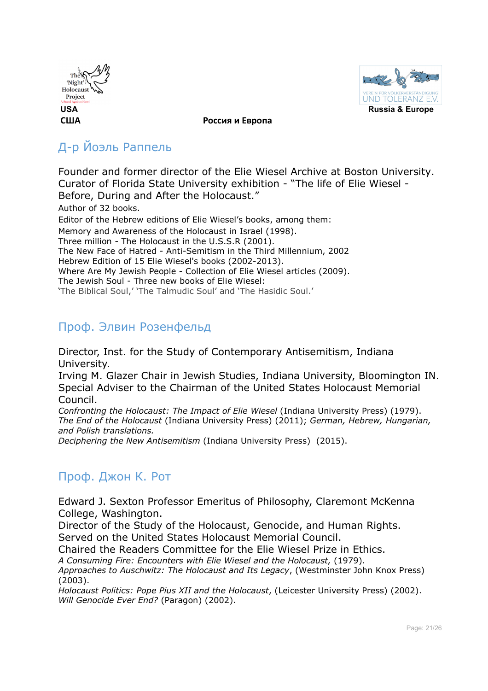



### Д-р Йоэль Раппель

Founder and former director of the Elie Wiesel Archive at Boston University. Curator of Florida State University exhibition - "The life of Elie Wiesel - Before, During and After the Holocaust." Author of 32 books. Editor of the Hebrew editions of Elie Wiesel's books, among them: Memory and Awareness of the Holocaust in Israel (1998). Three million - The Holocaust in the U.S.S.R (2001). The New Face of Hatred - Anti-Semitism in the Third Millennium, 2002 Hebrew Edition of 15 Elie Wiesel's books (2002-2013). Where Are My Jewish People - Collection of Elie Wiesel articles (2009). The Jewish Soul - Three new books of Elie Wiesel: 'The Biblical Soul,' 'The Talmudic Soul' and 'The Hasidic Soul.'

### Проф. Элвин Розенфельд

Director, Inst. for the Study of Contemporary Antisemitism, Indiana University.

Irving M. Glazer Chair in Jewish Studies, Indiana University, Bloomington IN. Special Adviser to the Chairman of the United States Holocaust Memorial Council.

*Confronting the Holocaust: The Impact of Elie Wiesel* (Indiana University Press) (1979). *The End of the Holocaust* (Indiana University Press) (2011); *German, Hebrew, Hungarian, and Polish translations.*

*Deciphering the New Antisemitism* (Indiana University Press) (2015).

### Проф. Джон К. Рот

Edward J. Sexton Professor Emeritus of Philosophy, Claremont McKenna College, Washington.

Director of the Study of the Holocaust, Genocide, and Human Rights. Served on the United States Holocaust Memorial Council.

Chaired the Readers Committee for the Elie Wiesel Prize in Ethics.

*A Consuming Fire: Encounters with Elie Wiesel and the Holocaust,* (1979).

*Approaches to Auschwitz: The Holocaust and Its Legacy*, (Westminster John Knox Press) (2003).

*Holocaust Politics: Pope Pius XII and the Holocaust*, (Leicester University Press) (2002). *Will Genocide Ever End?* (Paragon) (2002).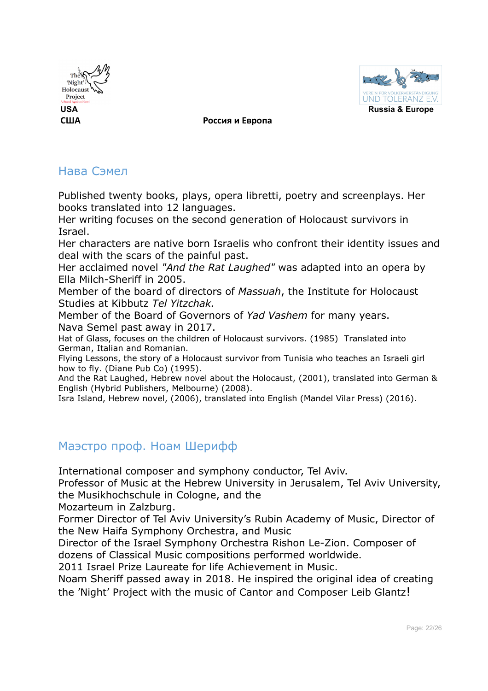



### Нава Сэмел

Published twenty books, plays, opera libretti, poetry and screenplays. Her books translated into 12 languages.

Her writing focuses on the second generation of Holocaust survivors in Israel.

Her characters are native born Israelis who confront their identity issues and deal with the scars of the painful past.

Her acclaimed novel *"And the Rat Laughed"* was adapted into an opera by Ella Milch-Sheriff in 2005.

Member of the board of directors of *Massuah*, the Institute for Holocaust Studies at Kibbutz *Tel Yitzchak.*

Member of the Board of Governors of *Yad Vashem* for many years. Nava Semel past away in 2017.

Hat of Glass, focuses on the children of Holocaust survivors. (1985) Translated into German, Italian and Romanian.

Flying Lessons, the story of a Holocaust survivor from Tunisia who teaches an Israeli girl how to fly. (Diane Pub Co) (1995).

And the Rat Laughed, Hebrew novel about the Holocaust, (2001), translated into German & English (Hybrid Publishers, Melbourne) (2008).

Isra Island, Hebrew novel, (2006), translated into English (Mandel Vilar Press) (2016).

### Маэстро проф. Ноам Шерифф

International composer and symphony conductor, Tel Aviv.

Professor of Music at the Hebrew University in Jerusalem, Tel Aviv University, the Musikhochschule in Cologne, and the

Mozarteum in Zalzburg.

Former Director of Tel Aviv University's Rubin Academy of Music, Director of the New Haifa Symphony Orchestra, and Music

Director of the Israel Symphony Orchestra Rishon Le-Zion. Composer of dozens of Classical Music compositions performed worldwide.

2011 Israel Prize Laureate for life Achievement in Music.

Noam Sheriff passed away in 2018. He inspired the original idea of creating the 'Night' Project with the music of Cantor and Composer Leib Glantz!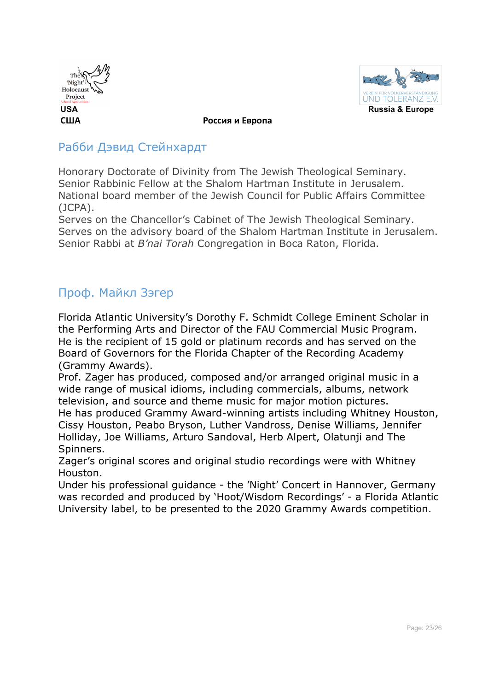



### Рабби Дэвид Стейнхардт

Honorary Doctorate of Divinity from The Jewish Theological Seminary. Senior Rabbinic Fellow at the Shalom Hartman Institute in Jerusalem. National board member of the Jewish Council for Public Affairs Committee (JCPA).

Serves on the Chancellor's Cabinet of The Jewish Theological Seminary. Serves on the advisory board of the Shalom Hartman Institute in Jerusalem. Senior Rabbi at *B'nai Torah* Congregation in Boca Raton, Florida.

### Проф. Майкл Зэгер

Florida Atlantic University's Dorothy F. Schmidt College Eminent Scholar in the Performing Arts and Director of the FAU Commercial Music Program. He is the recipient of 15 gold or platinum records and has served on the Board of Governors for the Florida Chapter of the Recording Academy (Grammy Awards).

Prof. Zager has produced, composed and/or arranged original music in a wide range of musical idioms, including commercials, albums, network television, and source and theme music for major motion pictures. He has produced Grammy Award-winning artists including Whitney Houston, Cissy Houston, Peabo Bryson, Luther Vandross, Denise Williams, Jennifer Holliday, Joe Williams, Arturo Sandoval, Herb Alpert, Olatunji and The Spinners.

Zager's original scores and original studio recordings were with Whitney Houston.

Under his professional guidance - the 'Night' Concert in Hannover, Germany was recorded and produced by 'Hoot/Wisdom Recordings' - a Florida Atlantic University label, to be presented to the 2020 Grammy Awards competition.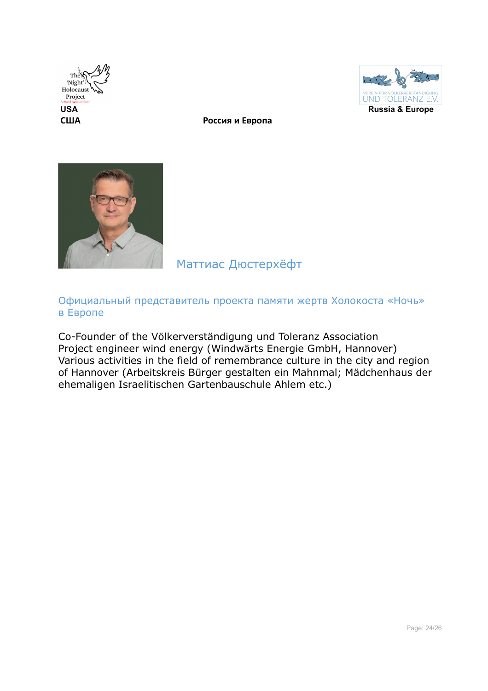





### Маттиас Дюстерхёфт

### Официальный представитель проекта памяти жертв Холокоста «Ночь» в Европе

Co-Founder of the Völkerverständigung und Toleranz Association Project engineer wind energy (Windwärts Energie GmbH, Hannover) Various activities in the field of remembrance culture in the city and region of Hannover (Arbeitskreis Bürger gestalten ein Mahnmal; Mädchenhaus der ehemaligen Israelitischen Gartenbauschule Ahlem etc.)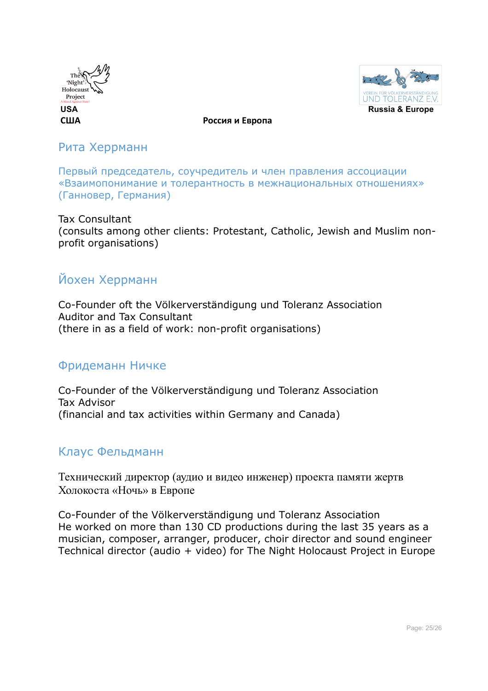



Рита Херрманн

Первый председатель, соучредитель и член правления ассоциации «Взаимопонимание и толерантность в межнациональных отношениях» (Ганновер, Германия)

Tax Consultant (consults among other clients: Protestant, Catholic, Jewish and Muslim nonprofit organisations)

### Йохен Херрманн

Co-Founder oft the Völkerverständigung und Toleranz Association Auditor and Tax Consultant (there in as a field of work: non-profit organisations)

### Фридеманн Ничке

Co-Founder of the Völkerverständigung und Toleranz Association Tax Advisor (financial and tax activities within Germany and Canada)

### Клаус Фельдманн

Технический директор (аудио и видео инженер) проекта памяти жертв Холокоста «Ночь» в Европе

Co-Founder of the Völkerverständigung und Toleranz Association He worked on more than 130 CD productions during the last 35 years as a musician, composer, arranger, producer, choir director and sound engineer Technical director (audio + video) for The Night Holocaust Project in Europe